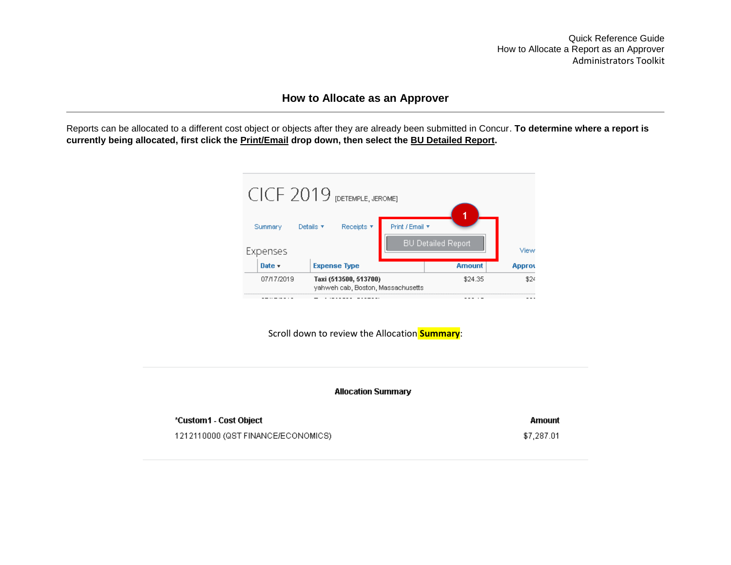## **How to Allocate as an Approver**

Reports can be allocated to a different cost object or objects after they are already been submitted in Concur. **To determine where a report is currently being allocated, first click the Print/Email drop down, then select the BU Detailed Report.**



Scroll down to review the Allocation **Summary**:

**Allocation Summary** 

| *Custom1 - Cost Object             | Amount     |
|------------------------------------|------------|
| 1212110000 (QST FINANCE/ECONOMICS) | \$7.287.01 |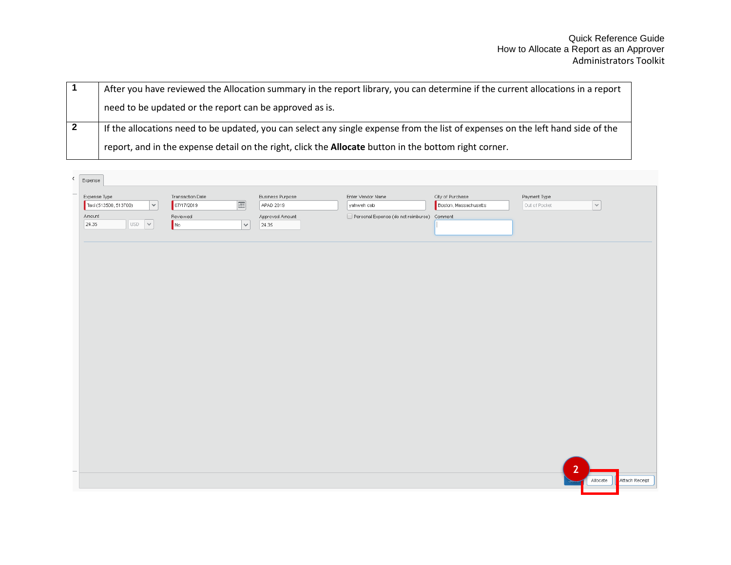|  | After you have reviewed the Allocation summary in the report library, you can determine if the current allocations in a report  |
|--|---------------------------------------------------------------------------------------------------------------------------------|
|  | need to be updated or the report can be approved as is.                                                                         |
|  | If the allocations need to be updated, you can select any single expense from the list of expenses on the left hand side of the |
|  | report, and in the expense detail on the right, click the <b>Allocate</b> button in the bottom right corner.                    |

| $\zeta$ | Expense                                                                                             |                                                                                       |                                                                  |                                                                                |                                           |                               |                            |
|---------|-----------------------------------------------------------------------------------------------------|---------------------------------------------------------------------------------------|------------------------------------------------------------------|--------------------------------------------------------------------------------|-------------------------------------------|-------------------------------|----------------------------|
| ÷       | Expense Type<br>$ \mathord{\sim} $<br>Taxi (513500, 513700)<br>Amount<br>$USD \rightarrow$<br>24.35 | Transaction Date<br>$\boxed{m}$<br>07/17/2019<br>Reviewed<br>$\vert \vee \vert$<br>No | <b>Business Purpose</b><br>APAD 2019<br>Approved Amount<br>24.35 | Enter Vendor Name<br>yahweh cab<br>Personal Expense (do not reimburse) Comment | City of Purchase<br>Boston, Massachusetts | Payment Type<br>Out of Pocket | $\vert \vee \vert$         |
|         |                                                                                                     |                                                                                       |                                                                  |                                                                                |                                           |                               |                            |
|         |                                                                                                     |                                                                                       |                                                                  |                                                                                |                                           |                               |                            |
|         |                                                                                                     |                                                                                       |                                                                  |                                                                                |                                           |                               |                            |
|         |                                                                                                     |                                                                                       |                                                                  |                                                                                |                                           |                               |                            |
|         |                                                                                                     |                                                                                       |                                                                  |                                                                                |                                           | $\overline{2}$                | Attach Receipt<br>Allocate |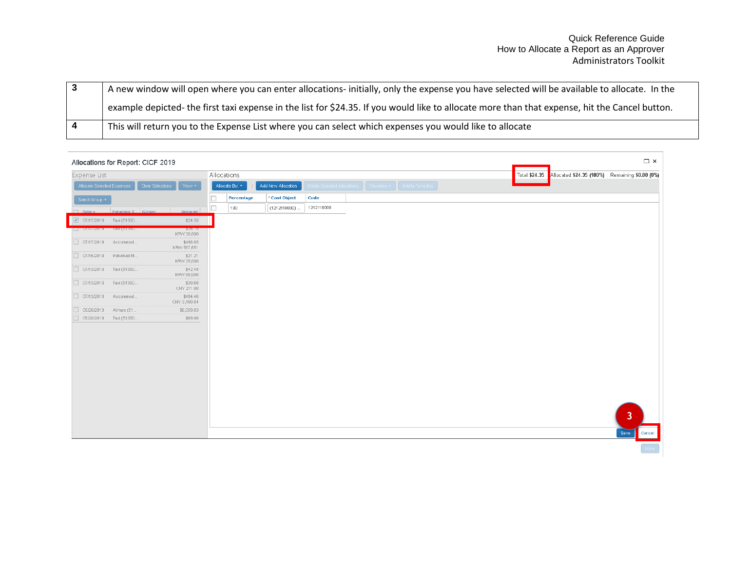| A new window will open where you can enter allocations- initially, only the expense you have selected will be available to allocate. In the    |
|------------------------------------------------------------------------------------------------------------------------------------------------|
| example depicted- the first taxi expense in the list for \$24.35. If you would like to allocate more than that expense, hit the Cancel button. |
| This will return you to the Expense List where you can select which expenses you would like to allocate                                        |

| Allocations for Report: CICF 2019                               |                      |                    |            |                                                                 |  |                                                                 | $\square$ $\times$              |
|-----------------------------------------------------------------|----------------------|--------------------|------------|-----------------------------------------------------------------|--|-----------------------------------------------------------------|---------------------------------|
| Expense List                                                    | Allocations          |                    |            |                                                                 |  | Total: \$24.35 Allocated: \$24.35 (100%) Remaining: \$0.00 (0%) |                                 |
| Allocate Selected Expenses<br>Clear Selections<br>View <b>+</b> | Allocate By: T       | Add New Allocation |            | Delete Selected Allocations Favorites <b>T</b> Add to Favorites |  |                                                                 |                                 |
| Select Group *                                                  | $\Box$<br>Percentage | * Cost Object      | Code       |                                                                 |  |                                                                 |                                 |
| <b>Community</b> Expense T., Group<br>Amount                    | $\Box$<br>100        | (1212110000).      | 1212110000 |                                                                 |  |                                                                 |                                 |
| 07/17/2019 Taxi (51350<br>\$24.35                               |                      |                    |            |                                                                 |  |                                                                 |                                 |
| <u>lm nuunsna laxifoloon:"</u><br>KRW 30,800                    |                      |                    |            |                                                                 |  |                                                                 |                                 |
| 07/17/2019 Accommod<br>\$498.85<br>KRW 587,651                  |                      |                    |            |                                                                 |  |                                                                 |                                 |
| 07/16/2019 Individual M<br>\$21.21<br>KRW 25,000                |                      |                    |            |                                                                 |  |                                                                 |                                 |
| 07/13/2019 Taxi (51350<br>\$42.48<br>KRW 50,000                 |                      |                    |            |                                                                 |  |                                                                 |                                 |
| 07/13/2019 Taxi (51350<br>\$30.68<br>CNY 211.00                 |                      |                    |            |                                                                 |  |                                                                 |                                 |
| 07/13/2019 Accommod<br>\$494.46<br>CNY 3,400.04                 |                      |                    |            |                                                                 |  |                                                                 |                                 |
| 05/20/2019<br>Airfare (51<br>\$6,059.83                         |                      |                    |            |                                                                 |  |                                                                 |                                 |
| 05/20/2019    Taxi (51350<br>\$89.00                            |                      |                    |            |                                                                 |  |                                                                 |                                 |
|                                                                 |                      |                    |            |                                                                 |  |                                                                 | $\overline{\mathbf{3}}$<br>Save |
|                                                                 |                      |                    |            |                                                                 |  |                                                                 | Cancel                          |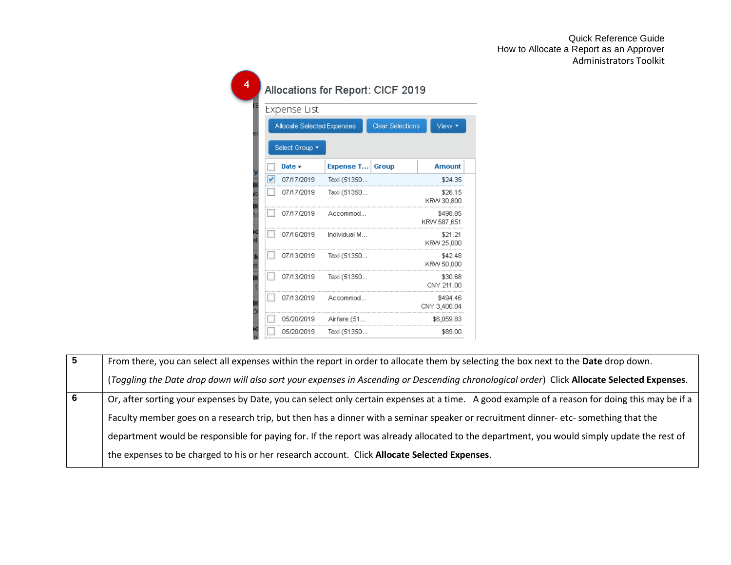|   | Expense List               |              |                         |                          |
|---|----------------------------|--------------|-------------------------|--------------------------|
|   | Allocate Selected Expenses |              | <b>Clear Selections</b> | View <b>T</b>            |
|   | Select Group *             |              |                         |                          |
|   | Date $\star$               | Expense T    | Group                   | <b>Amount</b>            |
| ✔ | 07/17/2019                 | Taxi (51350  |                         | \$24.35                  |
|   | 07/17/2019                 | Taxi (51350  |                         | \$26.15<br>KRW 30,800    |
|   | 07/17/2019                 | Accommod     |                         | \$498.85<br>KRW 587,651  |
|   | 07/16/2019                 | Individual M |                         | \$21.21<br>KRW 25,000    |
|   | 07/13/2019                 | Taxi (51350  |                         | \$42.48<br>KRW 50,000    |
|   | 07/13/2019                 | Taxi (51350  |                         | \$30.68<br>CNY 211.00    |
|   | 07/13/2019                 | Accommod     |                         | \$494.46<br>CNY 3,400.04 |
|   | 05/20/2019                 | Airfare (51  |                         | \$6,059.83               |
|   | 05/20/2019                 | Taxi (51350  |                         | \$89.00                  |

**5** From there, you can select all expenses within the report in order to allocate them by selecting the box next to the **Date** drop down. (*Toggling the Date drop down will also sort your expenses in Ascending or Descending chronological order*) Click **Allocate Selected Expenses**. **6 b** Or, after sorting your expenses by Date, you can select only certain expenses at a time. A good example of a reason for doing this may be if a Faculty member goes on a research trip, but then has a dinner with a seminar speaker or recruitment dinner- etc- something that the department would be responsible for paying for. If the report was already allocated to the department, you would simply update the rest of the expenses to be charged to his or her research account. Click **Allocate Selected Expenses**.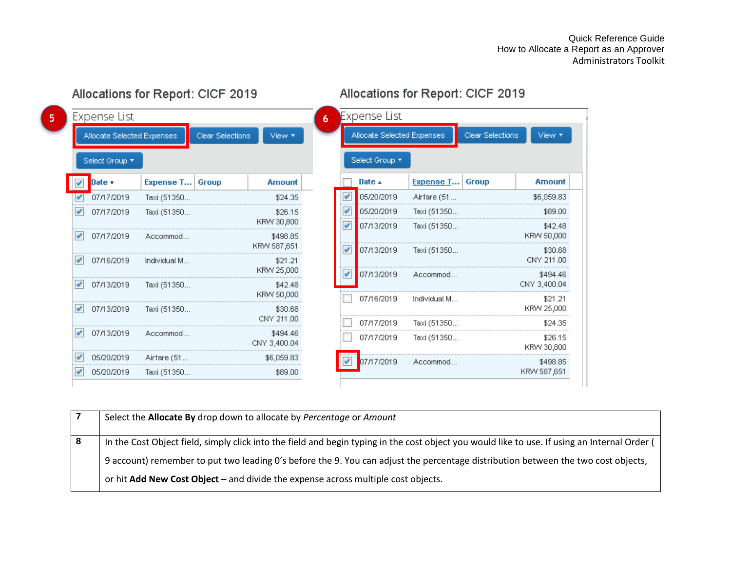View **T** 

**Amount** 

\$6,059.83

\$89.00

\$42.48

|   | Expense List               |              |                  |                          | 6 |                            | Expense List   |                  |  |
|---|----------------------------|--------------|------------------|--------------------------|---|----------------------------|----------------|------------------|--|
|   | Allocate Selected Expenses |              | Clear Selections | View <b>T</b>            |   | Allocate Selected Expenses |                |                  |  |
|   | Select Group *             |              |                  |                          |   |                            | Select Group * |                  |  |
|   | Date v                     | Expense T    | Group            | <b>Amount</b>            |   |                            | Date $\pm$     | <b>Expense T</b> |  |
|   | 07/17/2019                 | Taxi (51350  |                  | \$24.35                  |   |                            | 05/20/2019     | Airfare (51      |  |
|   | 07/17/2019                 | Taxi (51350  |                  | \$26.15                  |   | V                          | 05/20/2019     | Taxi (51350      |  |
|   |                            |              |                  | KRW 30,800               |   | V                          | 07/13/2019     | Taxi (51350      |  |
| ✔ | 07/17/2019                 | Accommod     |                  | \$498.85<br>KRW 587,651  |   |                            |                |                  |  |
|   | 07/16/2019                 | Individual M |                  | \$21.21                  |   | V                          | 07/13/2019     | Taxi (51350      |  |
|   |                            |              |                  | KRW 25,000               |   |                            | 07/13/2019     | Accommod         |  |
| v | 07/13/2019                 | Taxi (51350  |                  | \$42.48                  |   |                            |                |                  |  |
|   |                            |              |                  | KRW 50,000               |   |                            | 07/16/2019     | Individual M     |  |
| ✔ | 07/13/2019                 | Taxi (51350  |                  | \$30.68<br>CNY 211.00    |   |                            |                |                  |  |
|   |                            |              |                  |                          |   |                            | 07/17/2019     | Taxi (51350      |  |
|   | 07/13/2019                 | Accommod     |                  | \$494.46<br>CNY 3,400.04 |   |                            | 07/17/2019     | Taxi (51350      |  |
|   | 05/20/2019                 | Airfare (51  |                  | \$6,059.83               |   |                            | 07/17/2019     | Accommod         |  |
|   | 05/20/2019                 | Taxi (51350  |                  | \$89.00                  |   |                            |                |                  |  |

Allocations for Report: CICF 2019

# Allocations for Report: CICF 2019

Clear Selections

Group

|                         | $\sqrt{07/17/2019}$ | Accommod     | \$498.85                                                                                                                                                                                                                                                                           |   |            |              | KRW 50,000               |  |
|-------------------------|---------------------|--------------|------------------------------------------------------------------------------------------------------------------------------------------------------------------------------------------------------------------------------------------------------------------------------------|---|------------|--------------|--------------------------|--|
|                         | $\sqrt{07/16/2019}$ | Individual M | KRW 587,651<br>\$21.21                                                                                                                                                                                                                                                             | V | 07/13/2019 | Taxi (51350  | \$30.68<br>CNY 211.00    |  |
|                         | $\sqrt{07/13/2019}$ |              | KRW 25,000<br>\$42.48                                                                                                                                                                                                                                                              |   | 07/13/2019 | Accommod     | \$494.46<br>CNY 3,400.04 |  |
|                         |                     | Taxi (51350  | KRW 50,000                                                                                                                                                                                                                                                                         |   | 07/16/2019 | Individual M | \$21.21                  |  |
|                         | $\sqrt{07/13/2019}$ | Taxi (51350  | \$30.68                                                                                                                                                                                                                                                                            |   |            |              | KRW 25,000               |  |
|                         |                     |              | CNY 211.00                                                                                                                                                                                                                                                                         |   | 07/17/2019 | Taxi (51350  | \$24.35                  |  |
|                         | $\sqrt{07/13/2019}$ | Accommod     | \$494.46<br>CNY 3,400.04                                                                                                                                                                                                                                                           |   | 07/17/2019 | Taxi (51350  | \$26.15<br>KRW 30,800    |  |
| $\checkmark$            | 05/20/2019          | Airfare (51  | \$6,059.83                                                                                                                                                                                                                                                                         |   | 07/17/2019 | Accommod     | \$498.85                 |  |
| $\checkmark$            | 05/20/2019          | Taxi (51350  | \$89.00                                                                                                                                                                                                                                                                            |   |            |              | KRW 587,651              |  |
| $\overline{7}$          |                     |              | Select the <b>Allocate By</b> drop down to allocate by Percentage or Amount                                                                                                                                                                                                        |   |            |              |                          |  |
| $\overline{\mathbf{8}}$ |                     |              | In the Cost Object field, simply click into the field and begin typing in the cost object you would like to use. If using an Internal Order (<br>9 account) remember to put two leading 0's before the 9. You can adjust the percentage distribution between the two cost objects, |   |            |              |                          |  |
|                         |                     |              | or hit Add New Cost Object $-$ and divide the expense across multiple cost objects.                                                                                                                                                                                                |   |            |              |                          |  |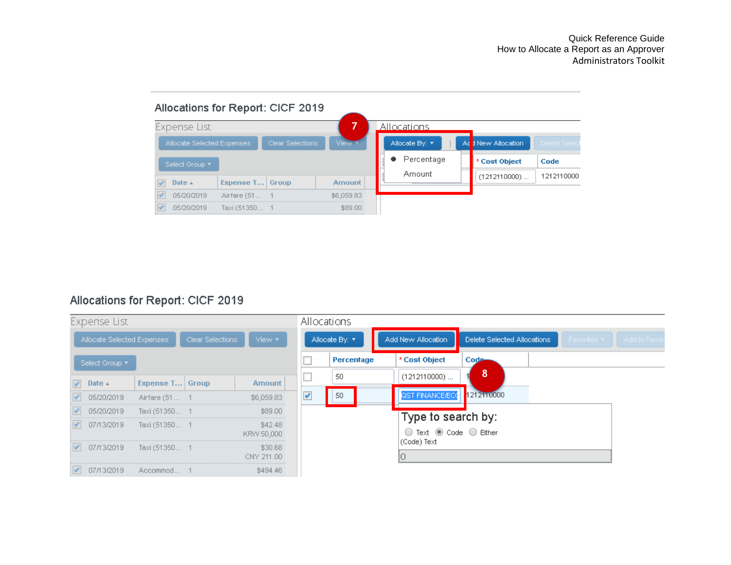

# Allocations for Report: CICF 2019

|            | Expense List               |                 |                  |                       |              | Allocations    |                                         |                             |             |             |
|------------|----------------------------|-----------------|------------------|-----------------------|--------------|----------------|-----------------------------------------|-----------------------------|-------------|-------------|
|            | Allocate Selected Expenses |                 | Clear Selections | View <b>T</b>         |              | Allocate By: T | Add New Allocation                      | Delete Selected Allocations | Favorites ▼ | Add to Favo |
|            | Select Group ▼             |                 |                  |                       |              | Percentage     | * Cost Object                           | Code                        |             |             |
| $\sqrt{2}$ | Date $\perp$               | Expense T Group |                  | Amount                |              | 50             | $(1212110000)$                          | 8                           |             |             |
| $\sqrt{2}$ | 05/20/2019                 | Airfare (51 1   |                  | \$6,059.83            | $\checkmark$ | 50             | QST FINANCE/ECC                         | 1212110000                  |             |             |
|            | $\sqrt{6}$ 05/20/2019      | Taxi (51350 1   |                  | \$89.00               |              |                | Type to search by:                      |                             |             |             |
|            | $\sqrt{07/13/2019}$        | Taxi (51350 1   |                  | \$42.48<br>KRW 50,000 |              |                | Text $\bullet$ Code $\circ$ Either<br>0 |                             |             |             |
|            | $\sqrt{07/13/2019}$        | Taxi (51350 1   |                  | \$30.68<br>CNY 211.00 |              |                | (Code) Text<br>Ю                        |                             |             |             |
| $\sqrt{2}$ | 07/13/2019                 | Accommod 1      |                  | \$494.46              |              |                |                                         |                             |             |             |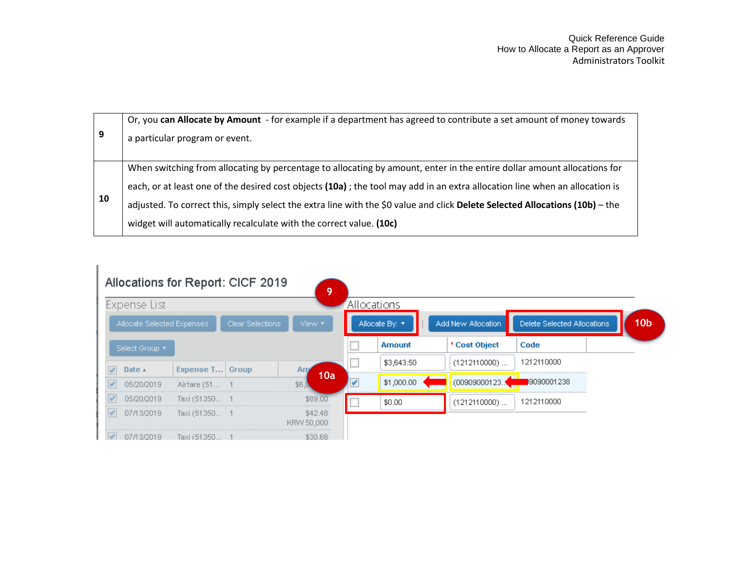| 9  | Or, you can Allocate by Amount - for example if a department has agreed to contribute a set amount of money towards<br>a particular program or event. |
|----|-------------------------------------------------------------------------------------------------------------------------------------------------------|
|    | When switching from allocating by percentage to allocating by amount, enter in the entire dollar amount allocations for                               |
|    | each, or at least one of the desired cost objects (10a); the tool may add in an extra allocation line when an allocation is                           |
| 10 | adjusted. To correct this, simply select the extra line with the \$0 value and click Delete Selected Allocations (10b) - the                          |
|    | widget will automatically recalculate with the correct value. (10c)                                                                                   |

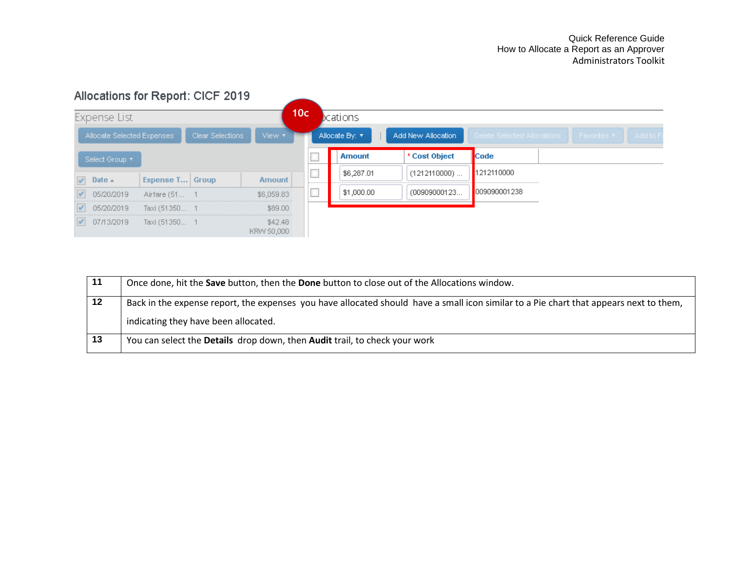

| -11 | Once done, hit the Save button, then the Done button to close out of the Allocations window.                                           |
|-----|----------------------------------------------------------------------------------------------------------------------------------------|
| 12  | Back in the expense report, the expenses you have allocated should have a small icon similar to a Pie chart that appears next to them, |
|     | indicating they have been allocated.                                                                                                   |
| 13  | You can select the Details drop down, then Audit trail, to check your work                                                             |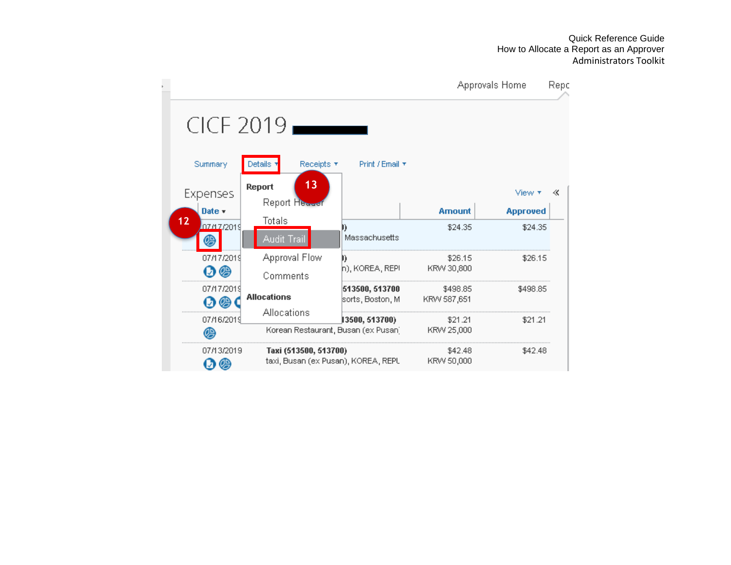